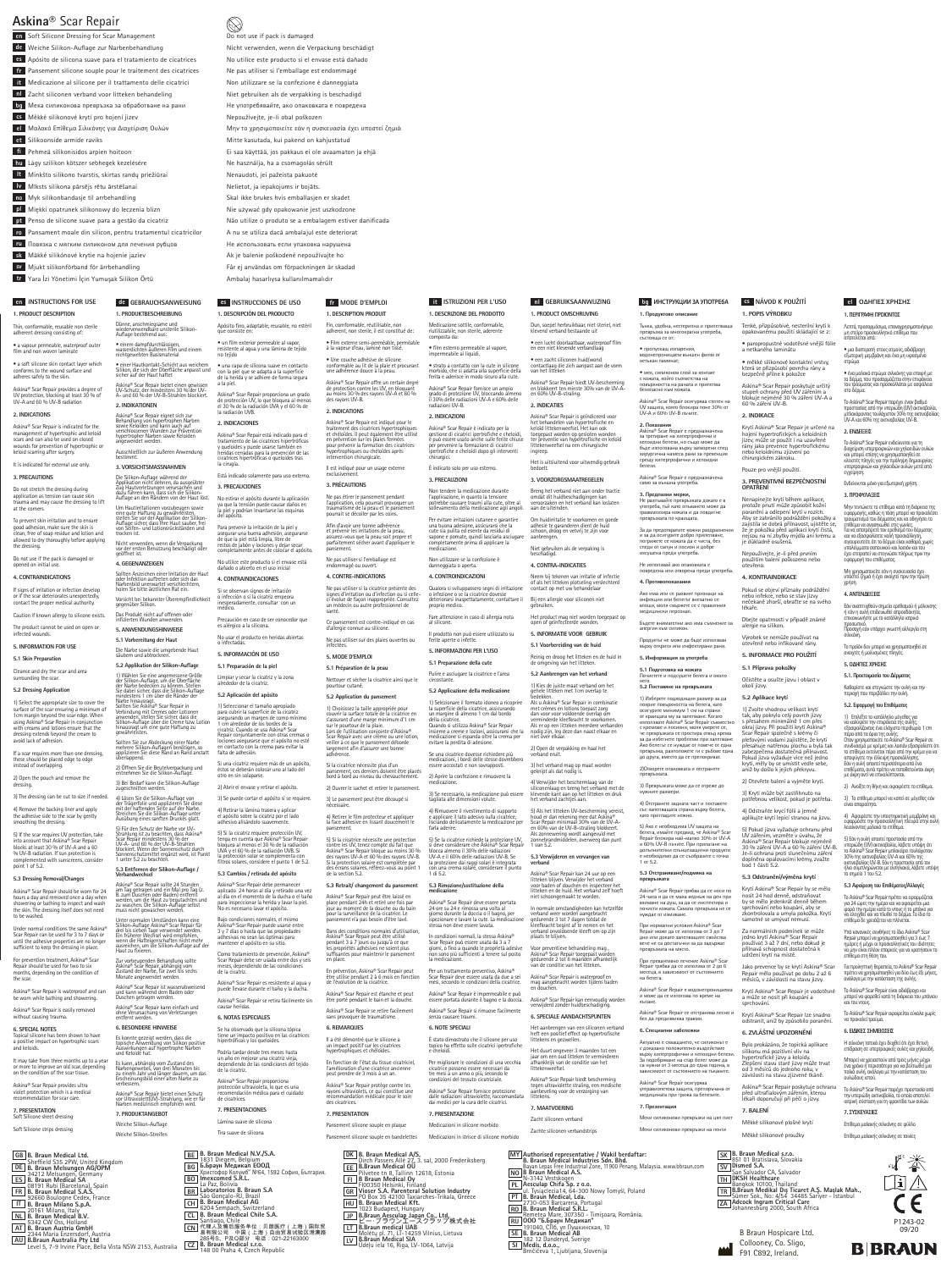# **Askina®** Scar Repair

 $\widetilde{\mathcal{D}}$  not use if pack is damaged Nicht verwenden, wenn die Verpackung beschädigt No utilice este producto si el envase está dañado Ne pas utiliser si l'emballage est endommagé Non utilizzare se la confezione è danneggiata Niet gebruiken als de verpakking is beschadigd Hе употребявайте, ако опаковката е повредена Nepoužívejte, je-li obal poškozen Μην το χρησιμοποιείτε εάν η συσκευασία έχει υποστεί ζημιά Mitte kasutada, kui pakend on kahjustatud Ei saa käyttää, jos pakkaus ei ole avaamaton ja ehjä Ne használja, ha a csomagolás sérült Nenaudoti, jei pažeista pakuotė Nelietot, ja iepakojums ir bojāts. Skal ikke brukes hvis emballasjen er skadet Nie używać gdy opakowanie jest uszkodzone Não utilize o produto se a embalagem estiver danificada A nu se utiliza dacă ambalajul este deteriorat Hе использовать если упаковка нарушена Ak je balenie poškodené nepoužívajte ho Får ej användas om förpackningen är skadad

Soft Silicone Dressing for Scar Management **en** Weiche Silikon-Auflage zur Narbenbehandlung **de** Apósito de silicona suave para el tratamiento de cicatrices **es** Pansement silicone souple pour le traitement des cicatrices **fr** Medicazione al silicone per il trattamento delle cicatrici **it** Zacht siliconen verband voor litteken behandeling **nl** Мека силиконова превръзка за обработване на рани **bg** Měkké silikonové krytí pro hojení jizev **cs** Μαλακό Επίθεμα Σιλικόνης για Διαχείριση Ουλών **el** Silikoonside armide raviks **et** Pehmeä silikonisidos arpien hoitoon **fi** Lágy szilikon kötszer sebhegek kezelésére **hu** Minkšto silikono tvarstis, skirtas randų priežiūrai **lt** Mīksts silikona pārsējs rētu ārstēšanai **lv** Myk silikonbandasje til arrbehandling **no** Miękki opatrunek silikonowy do leczenia blizn **pl** Penso de silicone suave para a gestão da cicatriz **pt** Pansament moale din silicon, pentru tratamentul cicatricilor **ro**

Повязка с мягким силиконом для лечения рубцов **ru**

Mäkké silikónové krytie na hojenie jaziev **sk**

Mjukt silikonförband för ärrbehandling **sv**

Yara İzi Yönetimi İçin Yumuşak Silikon Örtü **tr**

ima and may cause the dressing to lift at the corners. To prevent skin irritation and to ensure good adhesion, make sure the skin is clean, free of soap residue and lotion and allowed to dry thoroughly before applying Ambalaj hasarlıysa kullanılmamalıdır

**1. PRODUCT DESCRIPTION** Thin, conformable, reusable non sterile adherent dressing consisting of:

Askina® Scar Repair should be worn for 24 hours a day and removed once a day when showering or bathing to inspect and wash the skin. The dressing itself does not need to be washed. Askina® Scar Repair sollte 24 Stunden<br>am Tag getragen und ein Mal pro Tag (z.<br>B. zum Duschen oder Baden) entfernt<br>werden, um die Haut zu begutachten und<br>zu waschen. Die Silikon-Auflage selbst<br>muss nicht gewaschen werden.

• a vapour permeable, waterproof outer film and non woven laminate

Under normal conditions the same Askina® Scar Repair can be used for 3 to 7 days or until the adhesive properties are no longer sufficient to keep the dressing in place. Unter normalen Umständen kann eine<br>Silikon-Auflage Askina® Scar Repair für<br>drei bis sieben Tage verwendet werden.<br>Ein früherer Wechsel wird empfohlen,<br>wenn die Hafteigenschaften nicht mehr<br>ausreichen, um die Silikon-Auflag

**2. INDICATIONS**

**3. PRECAUTIONS** Do not stretch the dressing during application as tension can cause skin **3. VORSICHTSMASSNAHMEN** Die Silikon-Auflage während der Applikation nicht dehnen, da ausgeübter Zug Hautverletzungen verursachen und<br>dazu führen kann, dass sich die Silikon-<br>Auflage an den Rändern von der Haut löst.

## opened on initial use.

the dressing

or if the scar deteriorates unexpectedly, contact the proper medical authority. Caution if known allergy to silicone exists.

The product cannot be used on open or infected wounds.

**5. INFORMATION FOR USE 5.1 Skin Preparation**

dressing extends beyond the cream to avoid lack of adhesion. If a scar requires more than one dressing, these should be placed edge to edge instead of overlapping.

2) Open the pouch and remove the

4) Lösen Sie die Silikon-Auflage von der Trägerfolie und applizieren Sie diese mit der haftenden Seite auf der Narbe.<br>Streichen Sie die Silikon-Auflage unter<br>Ausübung eines sanften Druckes glatt.

dressing. 3) The dressing can be cut to size if needed.

• a soft silicone skin contact layer which conforms to the wound surface and adheres safely to the skin. • einer Hautkontakt-Schicht aus weichem Silikon, die sich der Oberfläche anpasst und sicher auf der Haut haftet

4) Remove the backing liner and apply the adhesive side to the scar by gently smoothing the dressing.

Askina® Scar Repair provides a degree of UV protection, blocking at least 30 % of UV-A and 60 % UV-B radiation Askina® Scar Repair bietet einen gewissen UV-Schutz, der mindestens 30 % der UV-A- und 60 % der UV-B-Strahlen blockiert. **2. INDIKATIONEN**

5) If the scar requires UV protection, take<br>into account that Askina® Scar Repair<br>blocks at least 30 % of UV-A and a 60<br>% UV-B radiation. If sun protection is<br>complemented with sunscreens, consider<br>point 1 of 5.2. 5) Für den Schutz der Narbe vor UV-Strahlung ist zu beachten, dass Askina® Scar Repair mindestens 30 % der UV-A- und 60 % der UV-B-Strahlen blockiert. Wenn der Sonnenschutz durch Sonnenschutzmittel ergänzt wird, ist Punkt 1 unter 5.2 zu beachten.

Askina® Scar Repair is indicated for the management of hypertrophic and keloid scars and can also be used on closed wounds for prevention of hypertrophic or keloid scarring after surger Askina® Scar Repair eignet sich zur Behandlung von hypertrophen Narben sowie Keloiden und kann auch auf verschlossenen Wunden zur Prävention hypertropher Narben sowie Keloiden angewendet werden. Ausschließlich zur äußeren Anwendung bestimmt.

It is indicated for external use only

**5.3 Dressing Removal/Changes**

For prevention treatment, Askina® Scar<br>Renair should be used for two to six Repair should be used for two to six months, depending on the condition of the scar. Zur vorbeugenden Behandlung sollte Askina® Scar Repair, abhängig vom Zustand der Narbe, für zwei bis sechs Monate angewendet werden.

Do not use if the pack is damaged or Um Hautirritationen vorzubeugen sowie eine gute Haftung zu gewährleisten, stellen Sie vor der Applikation der Silikon-Auflage sicher, dass Ihre Haut sauber, frei von Seifen- und Lotionsrückständen und trocken ist. Nicht verwenden, wenn die Verpackung vor der ersten Benutzung beschädigt oder geöffnet ist.

Askina® Scar Repair is easily removed without causing trauma.

### **6. SPECIAL NOTES**

**4. CONTRAINDICATIONS** If signs of irritation or infection develop Sollten Anzeichen einer Irritation der Haut oder Infektion auftreten oder sich das Narbenbild unerwartet verschlechtern, holen Sie bitte ärztlichen Rat ein.

Topical silicone has been shown to have a positive impact on hypertrophic scars and keloids.

de protección Ov.<br>el 30 % de la radia<br>la radiación UVB. **2. INDICACIONES**

Askina® Scar Repair está indicado para el tratamiento de las cicatrices hipertróficas y queloides y puede usarse también en heridas cerradas para la prevención de las ieridas cerradas para la prevención de<br>:icatrices hipertróficas o queloides tras

Está indicado solamente para uso externo

It may take from three months up to a year or more to improve an old scar, depending on the condition of the scar tissue.

Askina® Scar Repair provides ultra violet protection which is a medical recommendation for scar care.

**7. PRESENTATION** Soft Silicone sheet dressing

Cleanse and dry the scar and area surrounding the scar. **5.2 Dressing Application 5.2 Applikation der Silikon-Auflage** 1) Wählen Sie eine angemessene Größe der Silikon-Auflage, um die Oberfläche der Narbe bedecken zu können. Stellen Sie dabei sicher, dass die Silikon-Auflage

1) Select the appropriate size to cover the surface of the scar ensuring a minimum of 1cm margin beyond the scar edge. When using Askina® Scar Repair in conjunction with creams and lotions ensure that the mindestens 1 cm über die Ränder der<br>Sollten Sie Askina® Scar Repair in<br>Sollten Sie Askina® Scar Repair in<br>Verbindung mit Cremes oder Lotionen<br>anwenden, stellen Sie sicher, dass die<br>Silikon-Auflage über die Creme bzw. Lotio

Soft Silicone strips dressing

# **en INSTRUCTIONS FOR USE**

**1. PRODUKTBESCHREIBUNG** Dünne, anschmiegsame und wiederverwendbare unsterile Silikon-Auflage bestehend aus: • einem dampfdurchlässigen, wasserdichten äußeren Film und einem nichtgewebten Basismaterial

> Askina® Scar Repair debe permanecer aplicado 24 horas al día y retirado una vez al día en el momento de la ducha o el baño para inspeccionar la herida y lavar la piel. para inspeccionar la nema y la constante.<br>No es necesario lavar el apósito.

Bajo condiciones normales, el mismo<br>Askina® Scar Repair puede usarse entre 3 y 7 días o hasta que las propiedades adhesivas no sean las óptimas para mantener el apósito en su sitio.

> Podría tardar desde tres meses hasta un año en mejorar una cicatriz vieja, n mejorar una cicatriz vieja,<br>:ndo de las condiciones del tejido de la cicatriz.<br>de la cicatriz.

**4. GEGENANZEIGEN**

Askina® Scar Repair is waterproof and can be worn while bathing and showering. Askina® Scar Repair ist wasserabweisend und kann während dem Baden oder Duschen getragen werden.

# $\bigotimes$

Vorsicht bei bekannter Überempfindlichkeit gegenüber Silikon. Das Produkt nicht auf offenen oder infizierten Wunden anwenden. **5. ANWENDUNGSHINWEISE 5.1 Vorbereitung der Haut** Die Narbe sowie die umgebende Haut säubern und abtrocknen.

traitement des cicatrices hypertrophiques<br>et chéloïdes. Il peut également être utilisé<br>en prévention sur les plaies fermées<br>pour prévenir la formation des cicatrices hypertrophiques ou chéloïdes après intervention chirurgicale.

Ne pas utiliser si l'emballage est nmagé ou ouvert

1) Choisissez la taille appropriée pour<br>c'assurant d'une marge minimum d'1 cm<br>s'assurant d'une marge minimum d'1 cm<br>sur le pourtour de la plaie.<br>Lors de l'utilisation conjointe d'Askina® Scar Repair avec une crème ou une lotion,

Sollten Sie zur Abdeckung einer Narbe mehrere Silikon-Auflagen benötigen, so applizieren Sie diese Rand an Rand anstatt überlappend. 2) Öffnen Sie die Beutelverpackung und entnehmen Sie die Silikon-Auflage. 3) Bei Bedarf kann die Silikon-Auflage zugeschnitten werden.

**2. INDICAZIONI** Askina® Scar Repair è indicato per la gestione di cicatrici ipertrofiche e cheloidi, e può essere usato anche sulle ferite chiuse per prevenire la formazione di cicatrici per prevenire la formazione di cicatrici<br>ipertrofiche e cheloidi dopo gli interventi

# **6. BESONDERE HINWEISE**

Es konnte gezeigt werden, dass die topische Anwendung von Silikon positive Auswirkungen auf hypertrophe Narben und Keloide hat.

Es kann, abhängig vom Zustand des Narbengewebes, von drei Monaten bis zu einem Jahr und länger dauern, um das Erscheinungsbild einer alten Narbe zu verbessern.

Askina® Scar Repair bietet einen Schutz vor Ultraviolett(UV)-Strahlung, wie er für Narben medizinisch empfohlen wird.

**7. PRODUKTANGEBOT** Weiche Silikon-Auflage Weiche Silikon-Streifen

**1. DESCRIPCIÓN DEL PRODUCTO**

no tejido

• un film exterior permeable al vapor, resistente al agua y una lámina de tejido

• una capa de silicona suave en contacto con la piel que se adapta a la superficie de la herida y se adhiere de forma segura

a la piel.

Askina® Scar Repair proporciona un grado de protección UV, lo que bloquea al menos el 30 % de la radiación UVA y el 60 % de

### **5.3 Entfernen der Silikon-Auflage / Verbandwechsel 5.3 Cambios / retirada del apósito**

la cirugía.

o infectad

**3. PRECAUCIONES**

No estirar el apósito durante la aplicación ya que la tensión puede causar daños en la piel y podrían levantarse las esquinas del apósito.

socure, comormabile<br>non sterile, aderente • film esterno permeabile al vapore, impermeabile ai liquidi. Dun, soepel herbruikbaar, niet steriel, niet klevend verband bestaande uit • een lucht doorlaatbaar, waterproof film en een niet klevende verbandlaag

Para prevenir la irritación de la piel y asegurar una buena adhesión, asegurarse de que la piel está limpia, libre de restos de jabón y lociones y dejar secar completamente antes de colocar el apósito.

**3. VOORZORGSMAATREGELEN** Breng het verband niet aan onder tractie omdat dit huidbeschadigingen kan uudbeschadigingen kan<br>1 en het verband kan loslaten

No utilice este producto si el envase está dañado o abierto en el uso inicial **4. CONTRAINDICACIONES** Si se observan signos de irritación o infección o si la cicatriz empeora inesperadamente, consultar con un médico. Precaución en caso de ser conocedor que es alérgico a la silicona. No usar el producto en heridas abiertas

de GEBRAUCHSANWEISUNG es INSTRUCCIONES DE USO frem MODE D'EMPLOI it ISTRUZIONI PER L'USO ne debruiksaanwijzing de MHCTPYKLIWI 3A YNOTPE6A SANVOD K POUŽITÍ

Askina® Scar Repair kann einfach und ohne Verursachung von Verletzungen entfernt werden. causar heridas. **6. NOTAS ESPECIALES**

Neem bij tekenen van irritatie of infectie of als het litteken plotseling verslechterd contact op met uw behandelaar Bij een allergie voor siliconen niet gebruiken. Het product mag niet worden toegepast op open of geïnfecteerde wonden. **5. INFORMATIE VOOR GEBRUIK 5.1 Voorbereiding van de huid**  Reinig en droog het litteken en de huid in de omgeving van het litteken. **5.2 Aanbrengen van het verband** 1) Kies de juiste maat verband om het<br>gehele litteken met 1cm overlan te

gehele litticken met 1cm overlap te<br>bedekken.<br>Als u Askina® Scar Repair in combinatie<br>met crèmes en lotions toepast zorg<br>dan voor voor voldoende overlap om<br>verminderde kleckfracht te voorkomen.<br>Als er op een litteken meerd

**5. INFORMACIÓN DE USO 5.1 Preparación de la piel** Limpiar y secar la cicatriz y la zona alrededor de la cicatriz. **5.2 Aplicación del apósito**

Apósito fino, adaptable, reusable, no estéril que consiste en: **1. DESCRIPTION PRODUIT**

2) Abrir el envase y retirar el apósito. 3) Se puede cortar el apósito si se requiere.

4) Retirar la lámina trasera y aplicar el apósito sobre la cicatriz por el lado adhesivo alisándolo suavemente.

5) Si la cicatriz requiere protección UV, tenga en cuenta que Askina® Scar Repair bloquea al menos el 30 % de la radiación UVA y el 60 % de la radiación UVB. Si la protección solar se complementa con filtros solares, considere el punto 1 de 5.2. Askina® Scar Repair е предназначена за третиране на хипертрофични и келоидни белези, но също може да бъде използвана върху затворени след хирургична намеса рани за превенция срещу хипертрофични и келоидни белези. Askina® Scar Repair е предназначена само за външна употреба. **3. Предпазни мерки,** Не разпъвайте превръзката докато е в употреба, тъй като опъването може да употреоа, тъи като отваалсто ……….<br>травматизира кожата и да повдигне превръзката по краиц

Como tratamiento de prevención, Askina® Scar Repair debe ser usada entre dos y seis meses, dependiendo de las condiciones de la cicatriz.

Askina® Scar Repair es resistente al agua y puede llevase durante el baño y la ducha. Askina® Scar Repair se retira fácilmente sin

**4. Противопок** Ако има или се развият п инфекция или белегът внезапно се влоши, моля свържете се с правилния медицински персонал. Бъдете внимателни ако има съмнение за

алергия към си<mark>л</mark>и

Продуктът не може да бъде използван върху открити или инфектирани рани. **5. Информация за употреба 5.1 Подготовка на кожата** Почистете и подсушете белега и около него. **5.2 Поставяне на превръзката** 1) Изберете подходящия размер за да покрие повърхността на белега, като осигурите минимум 1 см на страни от краищата му за залепване. Когато<br>използвате Askina® Scar Repair съвместно

с кремове и лосиони, моля уверете се,<br>че превръзката се простира отвъд крема<br>за да избегнете проблеми при залепване<br>Ако белегът се нуждае от повече от една<br>превръзка, разположете ги с ръбове една<br>до друга, вместо да се пр

Se ha observado que la silicona tópica tiene un impacto positivo en las cicatrices hipertróficas y los queloides.

Askina® Scar Repair proporciona protección ultravioleta, lo que es una recomendación médica para el cuidado de cicatrices.

B. Braun Medical N.V.**/S.A.**<br>1831 Diegem, Belgium<br>Б.Браун Медикал ЕООД<br>Христофор Колумб<sup>™ №64,</sup> 1592 София, България.<br>Imexcomed S.R.L.

2)Отворете опаковката и отстранете превръзката. 3) Превръзката може да се отреже до нужните размери. 4) Отстранете задната част и поставете със залепващата страна върху белега, като пригладите нежно. 5) Ако е необходима UV защита на<br>белега, имайте предвид, че Askina® Scar Repair блокира най-малко 30% от UV-A и 60% UV-B лъчите. При прилагане на допълнителни слънцезащитни продукти иелни слънцезащи<br>одимо да се съобр

1) Seleccionar el tamaño apropiado para cubrir la superficie de la cicatriz asegurando un margen de como mínimo 1 cm alrededor de los bordes de la cicatriz. Cuando se usa Askina® Scar Repair conjuntamente con otras cremas o lociones asegurarse que el apósito no esté en contacto con la crema para evitar la falta de adhesión. veiller à ce que le pansement déborde largement afin d'assurer une bonne

**7. PRESENTACIONES**

Lámina suave de silicona Tira suave de silicona

• Film externe semi-perméable, perméable à la vapeur d'eau, laminé non tissé.

Askina® Scar Repair fornisce un ampio

Askina® Scar Repair est indiqué pour le

Fin, comformable, réutilisable, non adherent, non sterile, il est constitué de: • Une couche adhésive de silicone conformable au lit de la plaie et procurant une adhérence douce à la peau.

Si una cicatriz requiere más de un apósito, éstos se deberán colocar uno al lado del otro en sin solaparse. pansement, ces derniers doivent être placés bord à bord au niveau du chevauchement.

Askina® Scar Repair offre un certain degré de protection contre les UV, en bloquant au moins 30 % des rayons UV-A et 60 % des rayons UV-B. **2. INDICATIONS**

> зно лечение Askina® Sca Repair трябва да се използва от 2 до 6 месеца, в зависимост от състоянието

Il est indiqué pour un usage externe

exclusivement.

**3. PRÉCAUTIONS**

Ne pas étirer le pansement pendant l'application, cela pourrait provoquer un traumatisme de la peau et le pansement pourrait se décoller par les co Afin d'avoir une bonne adhérence et prévenir les irritations de la peau, assurez-vous que la peau soit propre et parfaitement sécher avant d'appliquer le pansement.

**4. CONTRE-INDICATIONS**

Ne pas utiliser si la cicatrice présente des signes d'irritation ou d'infection ou si celle-ci évolue de façon inappropriée. Consultez un médecin ou autre professionnel de santé.

Ce pansement est contre-indiqué en cas d'allergie connue au silicone.

Ne pas utiliser sur des plaies ouvertes ou infectées.

**5. MODE D'EMPLOI**

**5.1 Préparation de la peau**

Nettoyer et sécher la cicatrice ainsi que le

pourtour cutané.

**5.2 Application du pansement**

dopinena opalov<br>bod 1 části 5.2. **5.3 Odstranění/výměna krytí** Krytí Askina® Scar Repair by se mělo nosit 24 hod denně, odstraňovat by se mělo jedenkrát denně během sprchování nebo koupání, aby se zkontrolovala a umyla pokožka. Krytí samotné se umývat nemusí.

adhérence. Si la cicatrice nécessite plus d'un

2) Ouvrer le sachet et retirer le pansement.

3) Le pansement peut être découpé si nécessaire.

4) Retirer le film protecteur et appliquer la face adhesive en lissant doucement le pansement.

5) Si la cicatrice nécessite une protection contre les UV, tenez compte du fait que Askina® Scar Repair bloque au moins 30 % des rayons UV-A et 60 % des rayons UV-B. Si la protection solaire est complétée par

des écrans solaires, référez-vous au point 1 de la section 5.2. **5.3 Retrait/ changement du panse** Askina® Scar Repair peut être laissé en place pendant 24h et retiré une fois par jour au moment de la douche ou du bain

pour la surveillance de la cicatrice. Le pansement n'a pas besoin d'être lavé.

Dans des conditions normales d'utilisation, Askina® Scar Repair peut être utilisé<br>pendant 3 à 7 jours ou jusqu'à ce que<br>les propriétés adhésives ne soient plus<br>suffisantes pour maintenir le pansement<br>en place.

En prévention, Askina® Scar Repair peut être utilise pendant 2 à 6 mois en fonction de l'évolution de la cicatrice.

Askina® Scar Repair est étanche et peut être porté pendant le bain et la douche.

Askina® Scar Repair se retire facilement sans provoquer de traumatisme.

# **6. REMARQUES**

Il a été démontré que le silicone a un impact positif sur les cicatrices hypertrophiques et chéloïdes.

En fonction de l'état du tissue cicatriciel, l'amélioration d'une cicatrice ancienne peut prendre de 3 mois à un an.

Askina® Scar Repair protège contre les rayons ultraviolets, ce qui constitue une recommandation médicale pour le soin des cicatrices.

> B Braun Hospicare Ltd. Collooney, Co. Sligo, **MA** F91 C892, Ireland.



**7. PRESENTATION** Pansement silicone souple en plaque composta da:

grado di protezione UV, bloccando almeno il 30% delle radiazioni UV-A e 60% delle radiazioni UV-B.

> Μην τεντώνετε το επίθεμα κατά τη διάρκεια της<br>εφαρμογής, καθώς, η τάση μπορεί να προκιλέσει<br>επίθεμα να ανασηκωθεί στις γωνίες.<br>επίθεμα να ανασηκωθεί στις γωνίες.<br>Για να αποτρέψετε ναλή προσκόλληση,<br>και να εξασφαλίσετε καλ ιαι να εςασφαλίσετε καλη προσκολληση,<br>πγουρευτείτε ότι το δέρμα είναι καθαρό, χωρίς υπολείμματα σαπουνιού και λοσιόν και του έχει επιτραπεί να στεγνώσει πλήρως πριν την εφαρμογή του επιθέματος. Μη χρησιμοποιείτε εάν η συσκευασία έχει υποστεί ζημιά ή έχει ανοιχτεί πριν την πρώτη

Εάν αναπτυχθούν σημεία ερεθισμού ή μόλυνσης<br>ή εάν η ουλή επιδεινωθεί απροσδόκητα,<br>επικοινωνήστε με το κατάλληλο ιατρικό<br>προσωπικό. Προσοχή εάν υπάρχει γνωστή αλλεργία στη

chirurgici.

È indicato solo per uso esterno. **3. PRECAUZIONI**

una buona adesione, assicurarsi che la cute sia pulita ed esente da residui di sapone e pomate, quindi lasciarla asciugare completamente prima di applicare la medicazione. Non utilizzare se la confezione è

danneggiata o aperta. **4. CONTROINDICAZIONI**

Qualora si sviluppassero segni di irritazione o infezione o se la cicatrice dovesse deteriorarsi inaspettatamente, contattare il proprio medico.

Fare attenzione in caso di allergia nota al silicone.

Il prodotto non può essere utilizzato su ferite aperte o infette. **5. INFORMAZIONI PER L'USO**

**5.1 Preparazione della cute**

Pulire e asciugare la cicatrice e l'area

Για προληπτική θεραπεία, το Askina® Scar Re πρέπει να χρησιμοποιηθεί για δύο έως έξι μήνες, ανάλογα με την κατάσταση της ουλής. Το Askina® Scar Repair είναι αδιάβροχο και μπορεί να φορεθεί κατά τη διάρκεια του μπάνιου

circostante.

**5.2 Applicazione della medicazione**

1) Selezionare il formato idoneo a ricoprire<br>la superficie della cicatrice, assicurando<br>un margine di almeno 1 cm dal bordo<br>della cicatrice.<br>Quando si utilizza Askina® Scar Repair<br>Quando si utilizza Askina® Scar Repair<br>ins

# Pansement silicone souple en bandelettes Medicazioni in strisce di silicone morbido

**1. DESCRIZIONE DEL PRODOTTO** Medicazione sottile, conformabile, **1. PRODUCT OMSCHRIJVING**

medicazione si espanda oltre la crema per evitare la perdita di adesione. Se una cicatrice dovesse richiedere più medicazioni, i bordi delle stesse dovrebbero essere accostati e non sovrapposti. 2) Aprire la confezione e rimuovere la

medicazione.

• strato a contatto con la cute in silicone morbido, che si adatta alla superficie della ferita e aderisce in modo sicuro alla cute. Askina® Scar Repair biedt UV-bescherming

3) Se necessario, la medicazione può essere tagliata alle dimensioni volute. 4) Rimuovere il rivestimento di supporto e applicare il lato adesivo sulla cicatrice, lisciando delicatamente la medicazione per

farla aderire.

5) Se la cicatrice richiede la protezione UV, si deve considerare che Askina® Scar Repair blocca almeno il 30% delle radiazioni UV-A e il 60% delle radiazioni UV-B. Se la protezione dai raggi solari è integrata con una crema solare, considerare il punto 1 di 5.2. **5.3 Rimozione/sostituzione della** 

**medicazione**

Askina® Scar Repair deve essere portata 24 ore su 24 e rimossa una volta al giorno durante la doccia o il bagno, per ispezionare e lavare la cute. La medicazione stessa non deve essere lavata.

Non tendere la medicazione durante l'applicazione, in quanto la tensione potrebbe causare traumi alla cute, oltre al sollevamento della medicazione agli angoli. Per evitare irritazioni cutanee e garantire aan de uiteinden. Om huidirritatie te voorkomen en goede adhesie te garanderen dient de huid schoon, droog en vetvrij te zijn voor aanbrengen.

In condizioni normali, la stessa Askina® Scar Repair può essere usata da 3 a 7 giorni, o fino a quando le proprietà adesive non sono più sufficienti a tenere sul posto la medicazione.

Per un trattamento preventivo, Askina® Scar Repair deve essere usata da due a sei mesi, secondo le condizioni della cicatrice. Askina® Scar Repair è impermeabile e può essere portata durante il bagno e la doccia.

# **6. NOTE SPECIALI**

Per migliorare le condizioni di una vecchia cicatrice possono essere necessari da tre mesi a un anno o più, secondo le condizioni del tessuto cicatriziale.

### **7. PRESENTAZIONE**

• een zacht siliconen huid/wond contactlaag die zich aanpast aan de vorm van het litteken

en blokkeert ten minste 30% van de UV-A-en 60% UV-B-straling.

Askina® Scar Repair is geïndiceerd voor<br>het behandelen van hypertrofische en<br>keloïd littekenweefsel. Het kan ook<br>toegepast worden op gesloten wonden<br>ter preventie van hypertrofische en keloïd<br>littekenweefsel na een chirurg

**2. INDICATIES**

ingreep.

Het is uitsluitend voor uitwendig gebruik

bedoelt.

Niet gebruiken als de verpaking is beschadigd. **4. CONTRA-INDICATIES**

Askina® Scar Repair si rimuove facilmente senza causare traumi. **6. SPECIALE AANDACHTSPUNTEN**

È stato dimostrato che il silicone per uso topico ha effetto sulle cicatrici ipertrofiche e cheloidi. littekens en gezwellen.

Askina® Scar Repair fornisce protezione dalle radiazioni ultraviolette, raccomandata dai medici per la cura delle cicatrici. Askina® Scar Repair biedt bescherming tegen ultraviolette straling, een medische aanbeveling voor de verzorging van **littekens. 7. MAATVOERING**

Medicazioni in silicone morbido Zacht siliconen verband Zachte siliconen verbandstrips

2) Open de verpakking en haal het verband eruit. 3) het verband mag op maat worden geknipt als dat nodig is. 4) Verwijder het beschermlaag van de siliconenlaag en breng het verband met de klevende kant aan op het litteken en druk

het verband zachtjes aan.

5) Als het litteken UV-bescherming vereist, houd er dan rekening mee dat Askina® Scar Repair minimaal 30% van de UV-A-en 60% van de UV-B-straling blokkeert. Als zonnewering wordt aangevuld met zonnebrandmiddelen, overweeg dan punt

1 van 5.2.

**5.3 Verwijderen en vervangen van verband**

Askina® Scar Repair kan 24 uur op een litteken blijven. Verwijder het verband voor baden of douchen en inspecteer het litteken en de huid. Het verband zelf hoeft niet schoongemaakt te worden. In normale omstandigheden kan hetzelfde and weer worden aangebracht<br>irende 3 tot 7 dagen totdat de gedurende 3 tot 7 dagen totdat de kleefkracht begint af te nemen en het verband onvoldoende kleeft om op zijn

plaats te blijven.

Voor preventieve behandeling mag , Askina® Scar Repair toegepast worden gedurende 2 tot 6 maanden afhankelijk van de conditie van het litteken.

Askina® Scar Repair is waterproof en mag aangebracht worden tijdens baden en douchen. Askina® Scar Repair kan eenvoudig worden verwijderd zonder huidbeschadiging.

Het aanbrengen van een siliconen verband heft een positief effect op hypertrofische

Het duurt ongeveer 3 maanden tot een jaar om een oud litteken te verminderen afhankleijk van de conditie van het littekenweefsel.

**1. Продуктово описание**

Тънка, удобна, нестерилна и прилепваща превръзка за многократна употреба,

състояща се от:

• пропускащ изпарения, водонепроницаем външен филм от нетъкан ламинат; • мек, силиконов слой за контакт с кожата, който съответства на повърхността на раната и прилепва безопасно към кожата. Askina® Scar Repair осигурява степен на UV защита, която блокира поне 30% от UV-A и 60% UV-B лъчите.

**2. Показания**

За да предотвратите кожни раздразнения и за да осигурите добро прилепване, погрижете се кожата да е чиста, без следи от сапун и лосион и добре изсушена преди употреба.

Не използвай ако опаковката е повредена или отворена преди употреба.

1 от 5.2.

**5.3 Отстраняване/подмяна на превръзката**

Askina® Scar Repair трябва да се носи по<br>24 часа и да се маха веднъж на ден при<br>взимане на душ, за да се инспектира и<br>почисти кожата. Самата превръзка не се<br>нуждае от измиване.

При нормални условия Askina® Scar Repair може да се използва от 3 до 7 дни или докато залепващите свойства вече не са достатъчни за да задържат превръзката на място.

на белега.

Askina® Scar Repair е водонепроницаема и може да се използва по време на къпане.

## **6. Специални забележки**

Актуално е схващането, че силиконът е с доказано положително въздействие върху хипертрофични и келоидни белези. За подобряване на стар белег може да са нужни от 3 месеца до една година, в зависимост от състоянието на тъканите.

Askina® Scar Repair осигурява ултравиолетова защита, препоръчана от медицината при грижа за белезите.

### **7. Презентация**

Меки силиконови превръзки на цял лист

Меки силиконови превръзки на ленти

**1. POPIS VÝROBKU**

Tenké, přizpůsobivé, nesterilní krytí k opakovanému použití skládající se z: • paropropustné vodotěsné vnější fólie a netkaného laminátu • měkké silikonové kontaktní vrst která se přizpůsobí povrchu rány a bezpečně přilne k pokožce Askina® Scar Repair poskytuje určitý stupeň ochrany před UV zářením a blokuje nejméně 30 % záření UV-A a

60 % záření UV-B. **2. INDIKACE**

Krytí Askina® Scar Repair je určené na hojení hypertrofických a keloidních jizev, může se použít i na uzavřené rány jako prevence hypertrofickému nebo keloidnímu zjizvení po chirurgickém zákroku.

Nenapínejte krytí během aplikace,<br>protože pnutí může způsobit kožní<br>poranění a odlepení krytí v rozích.<br>Aby se zabránilo podráždění pokožky a<br>zajistila se dobrá přílnavost, ujistěte se,<br>že je pokožka před aplikaci krytí či

Pouze pro vnější použití. **3. PREVENTIVNÍ BEZPEČNOSTNÍ OPATŘENÍ**

je důkladně osušená. Nepoužívejte, je-li před prvním použitím balení poškozeno nebo

otevřeno. **4. KONTRAINDIKACE**

Pokud se objeví příznaky podráždění nebo infekce, nebo se stav jizvy nečekaně zhorší, obraťte se na svého lékaře.

Askina® Scar Repair се отстранява лесно и без да предизвиква травми. Krytí Askina® Scar Repair lze snadno odstranit, aniž by způsobilo poranění.

Dbejte opatrnosti v případě známé alergie na silikon. Výrobek se nemůže používat na otevřené nebo infikované rány. **5. INFORMACE PRO POUŽIT 5.1 Příprava pokožky** Očistěte a osušte jizvu i oblast v

1) Zvolte vhodnou velikost krytí<br>tak, aby pokrylo celý povrch jizvy<br>s přesahem minimálně 1 cm přes<br>s přesahem minimálně 1 cm přes<br>Scar Repair společně s krémy či<br>pleťovými vodami zajistěte, že krytí<br>pleťovými vodami zajist

okolí jizvy. **5.2 Aplikace krytí**

Pokud jizva vyžaduje vice než jedno krytí, měly by se umístit vedle sebe, aniž by došlo k jejich překryvu. 2) Otevřete balení a vyjměte krytí. 3) Krytí může být zastřihnuto na potřebnou velikost, pokud je potřeba. 4) Odstraňte krycí fólii a jemně aplikujte krytí lepící stranou na jizvu. 5) Pokud jizva vyžaduje ochranu před UV zářením, vezměte v úvahu, že Askina® Scar Repair blokuje nejméně 30 % záření UV-A a 60 % záření UV-B. Je-li ochrana proti slunečnímu záření doplněna opalovacími krémy, zvažte

Za normálních podmínek se může jedno krytí Askina® Scar Repair používat 3 až 7 dní, nebo dokud je přilnavá schopnost dostatečná k udržení krytí na místě.

Jako prevence by se krytí Askina® Scar Repair mělo používat po dobu 2 až 6 měsíců, v závislosti na stavu jizvy.

**7. BALENÍ**

√"茶  $LI \triangle$  $\epsilon$ 

Měkké silikonové plošné krytí

Měkké silikonové proužky

**Authorised representative / Wakil berdaftar: MY** B. Braun Medical Industries Sdn. Bhd.<br>Bayan Lepas Free Industrial Zone, 11900 Penang, Malaysia. www.bbraun.com<br>Bayan Lepas Free Industrial Zone, 11900 Penang, Malaysia. www.bbraun.com<br>N-3142 Vestskogen 4, 64-300 Nowy Tomyś — 191040, СПб, ул Пушкинская, 10<br>**SE | B. Braun Medical AB**<br>**SI | 182 12 Danderyd, Sverige<br><b>SI | Medis, d.o.o.,**<br>Brnčičeva 1, Ljubljana, Slovenija **PL PT RU RO SE**

**B. Braun Medical Ltd.**  Sheffield S35 2PW, United Kingdom **B. Braun Melsungen AG/OPM**  34212 Melsungen, Germany B. Braun Medical SA<br>08191 Rubi (Barcelona), Spain<br>8. Braun Medical S.A.S.<br>92660 Boulogne Cedex, France<br>8. Braun Milano S.p.A.<br>8. Braun Milano, Italy<br>8. Braun Austria B.V.<br>5342 CW Oss, Holland<br>8. Braun Austria GmbH<br>2344 Mar AU | B.Braun Australia Pty Ltd<br>Level 5, 7-9 Irvine Place, Bella Vista NSW 2153, Australia <mark>CZ | B. Braun Medical s.r.o.</mark><br>148 00 Praha 4, Czech Republic **GB DE FR ES NL IT AT**

**BE**

**BO**

**BR**

**CH**

**CL** 6204 Sempach, Switzerland **B. Braun Medical Chile S.A.** 

**CN** Santiago, Chile 代理人及售后服务单位:贝朗医疗(上海)国际贸 易有限公司 中国(上海)自由贸易试验区港澳路 285号S、P及Q部分 电话:021-22163000

La Paz, Bolivia **Laboratorios B. Braun S.A**  São Gonçalo-RJ, Brazil **B. Braun Medical AG** 

**BG NO EE GR HU FI DK B. Braun Medical A/S,**  Dirch Passers Allé 27, 3. sal, 2000 Frederiksberg EE B.Braun Medical 00<br>
FI B.Braun Medical Oy<br>
FI B Braun Medical Oy<br>
FI B Braun Medical Oy<br>
FI Prooss Os Heisinki, Finland<br>
OP Box 35 42100 Taxiarches-Trikala, Greece<br>
HU B. Braun Medicial Kft.<br>
HU B. Braun Medicial Kft. **B.Braun medical UAB**<br>Molėtų pl. 71, LT-14259 Vilnius, Lietuva<br>B.Braun Medical SIA<br>Ūdeļu iela 16, Riga, LV-1064, Latvija **LT LV**



**SK**

P1243-02

**1. ΠΕΡΙΓΡΑΦΗ ΠΡΟΙΟΝΤΟΣ**

Λεπτό, προσαρμόσιμο, επαναχρησιμοποιήσιμο μη στείρο προσκολλητικό επίθεμα που αποτελείται από:

• μια διαπερατή στους ατμούς, αδιάβροχη εξωτερική μεμβράνη και ένα μη υφασμένο στρώμα

Krytí Askina® Scar Repair je vodotěsné a může se nosit při koupání a sprchování. Το Askina® Scar Repair αφαιρείται εύκολα χωρίς να προκαλεί τραύμα.

### **6. ZVLÁŠTNÍ UPOZORNĚNÍ 6. ΕΙΔΙΚΕΣ ΣΗΜΕΙΩΣΕΙΣ**

Bylo prokázáno, že topická aplikace<br>silikonu má pozitivní vliv na<br>hypertrofické jizvy a keloidy.<br>Zlepšení stavu staré jizvy může trvat<br>od 3 měsíců do jednoho roku, v<br>závislosti na stavu zjizvené tkáně.

• ένα μαλακό στρώμα σιλικόνης για επαφή με το δέρμα, που προσαρμόζεται στην επιφάνεια του τραύματος και προσκολλάται με ασφάλεια

Το Askina® Scar Repair παρέχει έναν βαθμό προστασίας από την υπεριώδη (UV) ακτινοβολία, μπλοκάροντας τουλάχιστον 30% της ακτινοβολίας UV-A και 60% της ακτινοβολίας UV-B.

**2. ΕΝΔΕΙΞΕΙΣ**

Askina® Scar Repair poskytuje ochranu před ultrafialovým zářením, kterou lékaři doporučují při péči o jizvy. Το Askina® Scar Repair παρέχει προστασία από την υπεριώδη ακτινοβολία, το οποίο αποτελεί ιατρική σύσταση για τη φροντίδα των ουλών.

Το Askina® Scar Repair ενδείκνυται για τη διαχείριση υπερτροφικών και χηλοειδών ουλών και μπορεί επίσης να χρησιμοποιηθεί σε κλειστές πληγές για την πρόληψη δημιουργίας υπερτροφικών και χηλοειδών ουλών μετά από εγχείρηση. Ενδείκνυται μόνο για εξωτερική χρήση. **3. ΠΡΟΦΥΛΑΞΕΙΣ**

χρήση. **4. ΑΝΤΕΝΔΕΙΞΕΙΣ**

σιλικόνη.

Το προϊόν δεν μπορεί να χρησιμοποιηθεί σε ανοιχτές ή μολυσμένες πληγές.

**5. ΟΔΗΓΙΕΣ ΧΡΗΣΗΣ 5.1. Προετοιμασία του Δέρματος** Καθαρίστε και στεγνώστε την ουλή και την περιοχή που περιβάλλει την ουλή. **5.2. Εφαρμογή του Επιθέματος** 1) Επιλέξτε το κατάλληλο μέγεθος για να καλύψετε την επιφάνεια της ουλής,<br>εξασφαλίζοντας ένα ελάχιστο περιθωρίο 1 cm<br>πέρα από τα όρια της ουλής.<br>Οταν χρησιμοποιείτε το Askina® Scar Repair σε συνδυασμό με κρέμες και λοσιόν εξασφαλίστε ότι το επίθεμα εκτείνεται πέρα από την κρέμα για να αποφύγετε την έλλειψη προσκόλλησης. Εάν η ουλή απαιτεί περισσότερα από ένα επιθέματα, αυτά πρέπει να τοποθετούνται άκρη με άκρη αντί να επικαλύπτονται. 2) Ανοίξτε τη θήκη και αφαιρέστε το επίθεμα. 3) Το επίθεμα μπορεί να κοπεί σε μέγεθος εάν είναι απαραίτητο. 4) Αφαιρέστε την υποστηρικτική μεμβράνη και εφαρμόστε την προσκολλητική πλευρά στην ουλή λειαίνοντας μαλακά το επίθεμα. 5) Εάν η ουλή απαιτεί προστασία από την υπεριώδη (UV) ακτινοβολία, λάβετε υπόψη ότι το Askina® Scar Repair μπλοκάρει τουλάχιστον 30% της ακτινοβολίας UV-A και 60% της ακτινοβολίας UV-B. Εάν η προστασία από τον ήλιο συμπληρώνεται με αντηλιακά, λάβετε υπόψη το σημείο 1 του 5.2. **5.3 Αφαίρεση του Επιθέματος/Αλλαγές** Το Askina® Scar Repair πρέπει να εφαρμόζεται για 24 ώρες την ημέρα και να αφαιρείται μια φορά την ημέρα κατά το ντους ή το μπάνιο για φορα την ημερα κατα το ντους η το μπανιο γιι<br>να ελεγχθεί και να πλυθεί το δέρμα. Το ίδιο το επίθεμα δε χρειάζεται να πλέ Υπό κανονικές συνθήκες το ίδιο Askina® Scar Repair μπορεί να χρησιμοποιηθεί για 3 έως 7 ημέρες ή μέχρι οι προσκολλητικές του ιδιότητες να μην είναι πλέον επαρκείς για να κρατήσουν το

επίθεμα στη θέση του.

και του ντους.

Η σιλικόνη τοπικά έχει δειχθεί ότι έχει θετική επίδραση σε υπερτροφικές ουλές και χηλοειδή.

Μπορεί να χρειαστούν από τρεις μήνες μέχρι ένα χρόνο ή περισσότερο για να βελτιωθεί μια παλιά ουλή, ανάλογα με την κατάσταση του ουλώδους ιστού.

### **7. ΣΥΣΚΕΥΑΣΙΕΣ**

Επίθεμα μαλακής σιλικόνης σε φύλλο

Επίθεμα μαλακής σιλικόνης σε ταινίες

**el ΟΔΗΓΙΕΣ ΧΡΗΣΗΣ**

του τραύμα<br>στο δέρμα.